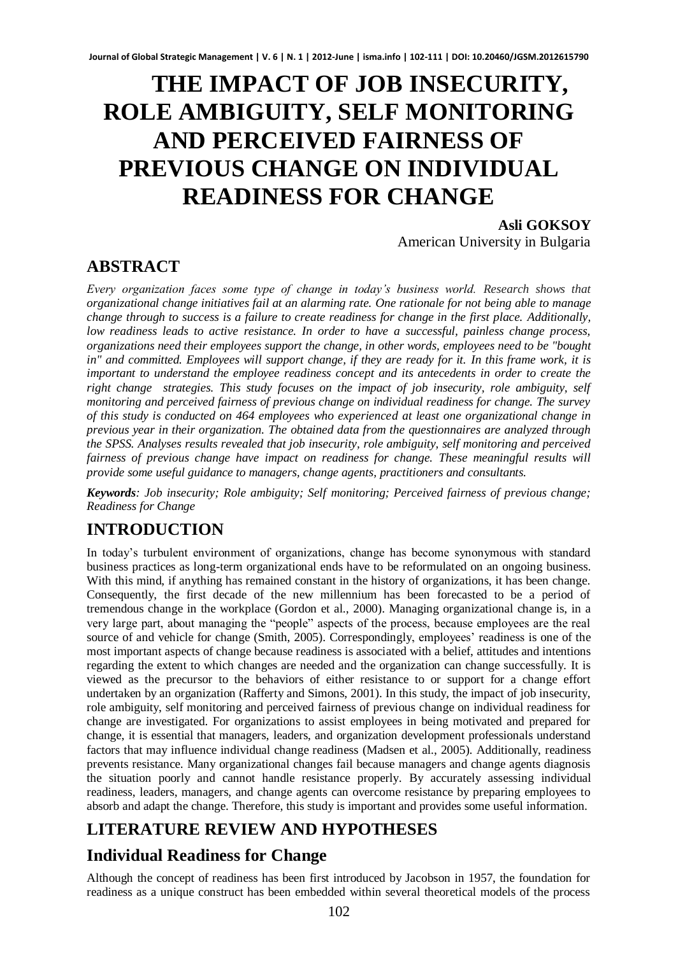# **THE IMPACT OF JOB INSECURITY, ROLE AMBIGUITY, SELF MONITORING AND PERCEIVED FAIRNESS OF PREVIOUS CHANGE ON INDIVIDUAL READINESS FOR CHANGE**

**Asli GOKSOY**  American University in Bulgaria

### **ABSTRACT**

*Every organization faces some type of change in today's business world. Research shows that organizational change initiatives fail at an alarming rate. One rationale for not being able to manage change through to success is a failure to create readiness for change in the first place. Additionally, low readiness leads to active resistance. In order to have a successful, painless change process, organizations need their employees support the change, in other words, employees need to be "bought in"* and committed. Employees will support change, if they are ready for it. In this frame work, it is *important to understand the employee readiness concept and its antecedents in order to create the right change strategies. This study focuses on the impact of job insecurity, role ambiguity, self monitoring and perceived fairness of previous change on individual readiness for change. The survey of this study is conducted on 464 employees who experienced at least one organizational change in previous year in their organization. The obtained data from the questionnaires are analyzed through the SPSS. Analyses results revealed that job insecurity, role ambiguity, self monitoring and perceived fairness of previous change have impact on readiness for change. These meaningful results will provide some useful guidance to managers, change agents, practitioners and consultants.*

*Keywords: Job insecurity; Role ambiguity; Self monitoring; Perceived fairness of previous change; Readiness for Change* 

# **INTRODUCTION**

In today's turbulent environment of organizations, change has become synonymous with standard business practices as long-term organizational ends have to be reformulated on an ongoing business. With this mind, if anything has remained constant in the history of organizations, it has been change. Consequently, the first decade of the new millennium has been forecasted to be a period of tremendous change in the workplace (Gordon et al., 2000). Managing organizational change is, in a very large part, about managing the "people" aspects of the process, because employees are the real source of and vehicle for change (Smith, 2005). Correspondingly, employees' readiness is one of the most important aspects of change because readiness is associated with a belief, attitudes and intentions regarding the extent to which changes are needed and the organization can change successfully. It is viewed as the precursor to the behaviors of either resistance to or support for a change effort undertaken by an organization (Rafferty and Simons, 2001). In this study, the impact of job insecurity, role ambiguity, self monitoring and perceived fairness of previous change on individual readiness for change are investigated. For organizations to assist employees in being motivated and prepared for change, it is essential that managers, leaders, and organization development professionals understand factors that may influence individual change readiness (Madsen et al., 2005). Additionally, readiness prevents resistance. Many organizational changes fail because managers and change agents diagnosis the situation poorly and cannot handle resistance properly. By accurately assessing individual readiness, leaders, managers, and change agents can overcome resistance by preparing employees to absorb and adapt the change. Therefore, this study is important and provides some useful information.

# **LITERATURE REVIEW AND HYPOTHESES**

# **Individual Readiness for Change**

Although the concept of readiness has been first introduced by Jacobson in 1957, the foundation for readiness as a unique construct has been embedded within several theoretical models of the process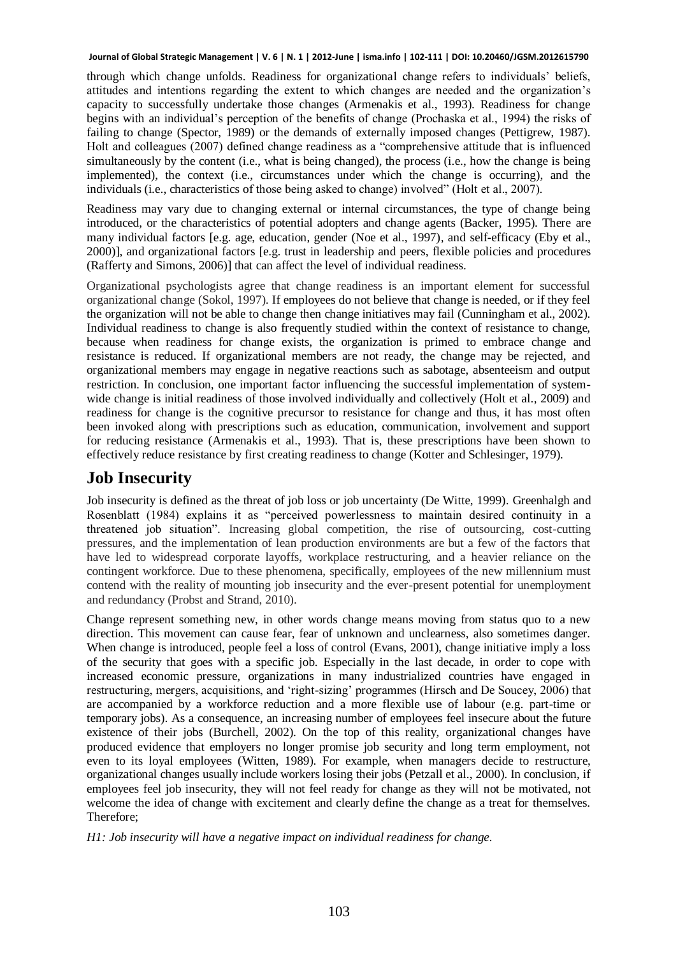through which change unfolds. Readiness for organizational change refers to individuals' beliefs, attitudes and intentions regarding the extent to which changes are needed and the organization's capacity to successfully undertake those changes (Armenakis et al., 1993). Readiness for change begins with an individual's perception of the benefits of change (Prochaska et al., 1994) the risks of failing to change (Spector, 1989) or the demands of externally imposed changes (Pettigrew, 1987). Holt and colleagues (2007) defined change readiness as a "comprehensive attitude that is influenced simultaneously by the content (i.e., what is being changed), the process (i.e., how the change is being implemented), the context (i.e., circumstances under which the change is occurring), and the individuals (i.e., characteristics of those being asked to change) involved" (Holt et al., 2007).

Readiness may vary due to changing external or internal circumstances, the type of change being introduced, or the characteristics of potential adopters and change agents (Backer, 1995). There are many individual factors [e.g. age, education, gender (Noe et al., 1997), and self-efficacy (Eby et al., 2000)], and organizational factors [e.g. trust in leadership and peers, flexible policies and procedures (Rafferty and Simons, 2006)] that can affect the level of individual readiness.

Organizational psychologists agree that change readiness is an important element for successful organizational change (Sokol, 1997). If employees do not believe that change is needed, or if they feel the organization will not be able to change then change initiatives may fail (Cunningham et al., 2002). Individual readiness to change is also frequently studied within the context of resistance to change, because when readiness for change exists, the organization is primed to embrace change and resistance is reduced. If organizational members are not ready, the change may be rejected, and organizational members may engage in negative reactions such as sabotage, absenteeism and output restriction. In conclusion, one important factor influencing the successful implementation of systemwide change is initial readiness of those involved individually and collectively (Holt et al., 2009) and readiness for change is the cognitive precursor to resistance for change and thus, it has most often been invoked along with prescriptions such as education, communication, involvement and support for reducing resistance (Armenakis et al., 1993). That is, these prescriptions have been shown to effectively reduce resistance by first creating readiness to change (Kotter and Schlesinger, 1979).

#### **Job Insecurity**

Job insecurity is defined as the threat of job loss or job uncertainty (De Witte, 1999). Greenhalgh and Rosenblatt (1984) explains it as "perceived powerlessness to maintain desired continuity in a threatened job situation". Increasing global competition, the rise of outsourcing, cost-cutting pressures, and the implementation of lean production environments are but a few of the factors that have led to widespread corporate layoffs, workplace restructuring, and a heavier reliance on the contingent workforce. Due to these phenomena, specifically, employees of the new millennium must contend with the reality of mounting job insecurity and the ever-present potential for unemployment and redundancy (Probst and Strand, 2010).

Change represent something new, in other words change means moving from status quo to a new direction. This movement can cause fear, fear of unknown and unclearness, also sometimes danger. When change is introduced, people feel a loss of control (Evans, 2001), change initiative imply a loss of the security that goes with a specific job. Especially in the last decade, in order to cope with increased economic pressure, organizations in many industrialized countries have engaged in restructuring, mergers, acquisitions, and 'right-sizing' programmes (Hirsch and De Soucey, 2006) that are accompanied by a workforce reduction and a more flexible use of labour (e.g. part-time or temporary jobs). As a consequence, an increasing number of employees feel insecure about the future existence of their jobs (Burchell, 2002). On the top of this reality, organizational changes have produced evidence that employers no longer promise job security and long term employment, not even to its loyal employees (Witten, 1989). For example, when managers decide to restructure, organizational changes usually include workers losing their jobs (Petzall et al., 2000). In conclusion, if employees feel job insecurity, they will not feel ready for change as they will not be motivated, not welcome the idea of change with excitement and clearly define the change as a treat for themselves. Therefore;

*H1: Job insecurity will have a negative impact on individual readiness for change.*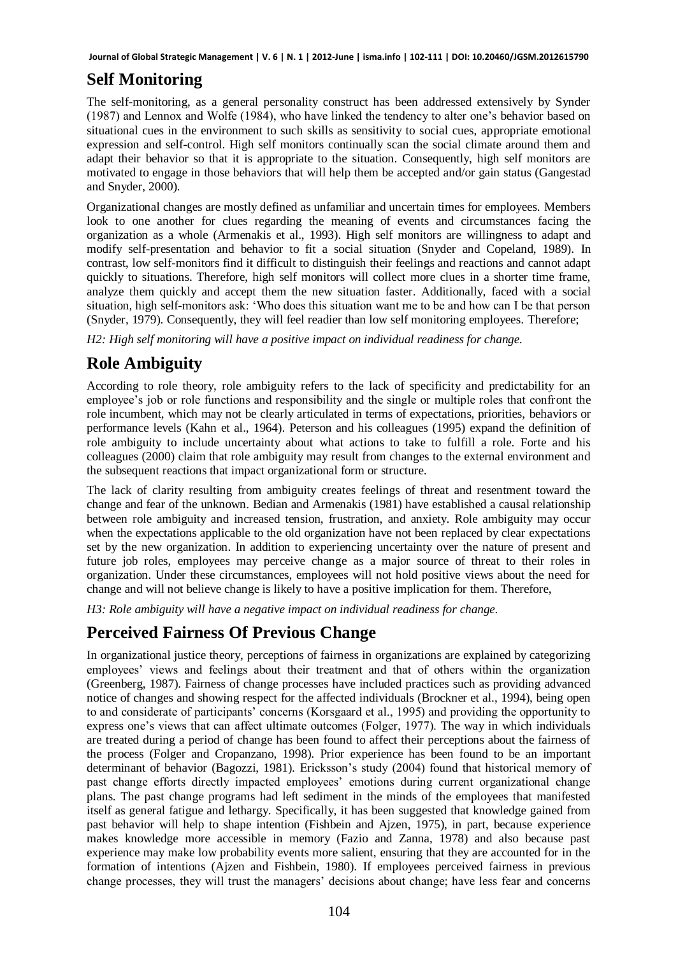# **Self Monitoring**

The self-monitoring, as a general personality construct has been addressed extensively by Synder (1987) and Lennox and Wolfe (1984), who have linked the tendency to alter one's behavior based on situational cues in the environment to such skills as sensitivity to social cues, appropriate emotional expression and self-control. High self monitors continually scan the social climate around them and adapt their behavior so that it is appropriate to the situation. Consequently, high self monitors are motivated to engage in those behaviors that will help them be accepted and/or gain status (Gangestad and Snyder, 2000).

Organizational changes are mostly defined as unfamiliar and uncertain times for employees. Members look to one another for clues regarding the meaning of events and circumstances facing the organization as a whole (Armenakis et al., 1993). High self monitors are willingness to adapt and modify self-presentation and behavior to fit a social situation (Snyder and Copeland, 1989). In contrast, low self-monitors find it difficult to distinguish their feelings and reactions and cannot adapt quickly to situations. Therefore, high self monitors will collect more clues in a shorter time frame, analyze them quickly and accept them the new situation faster. Additionally, faced with a social situation, high self-monitors ask: 'Who does this situation want me to be and how can I be that person (Snyder, 1979). Consequently, they will feel readier than low self monitoring employees. Therefore;

*H2: High self monitoring will have a positive impact on individual readiness for change.* 

# **Role Ambiguity**

According to role theory, role ambiguity refers to the lack of specificity and predictability for an employee's job or role functions and responsibility and the single or multiple roles that confront the role incumbent, which may not be clearly articulated in terms of expectations, priorities, behaviors or performance levels (Kahn et al., 1964). Peterson and his colleagues (1995) expand the definition of role ambiguity to include uncertainty about what actions to take to fulfill a role. Forte and his colleagues (2000) claim that role ambiguity may result from changes to the external environment and the subsequent reactions that impact organizational form or structure.

The lack of clarity resulting from ambiguity creates feelings of threat and resentment toward the change and fear of the unknown. Bedian and Armenakis (1981) have established a causal relationship between role ambiguity and increased tension, frustration, and anxiety. Role ambiguity may occur when the expectations applicable to the old organization have not been replaced by clear expectations set by the new organization. In addition to experiencing uncertainty over the nature of present and future job roles, employees may perceive change as a major source of threat to their roles in organization. Under these circumstances, employees will not hold positive views about the need for change and will not believe change is likely to have a positive implication for them. Therefore,

*H3: Role ambiguity will have a negative impact on individual readiness for change.* 

# **Perceived Fairness Of Previous Change**

In organizational justice theory, perceptions of fairness in organizations are explained by categorizing employees' views and feelings about their treatment and that of others within the organization (Greenberg, 1987). Fairness of change processes have included practices such as providing advanced notice of changes and showing respect for the affected individuals (Brockner et al., 1994), being open to and considerate of participants' concerns (Korsgaard et al., 1995) and providing the opportunity to express one's views that can affect ultimate outcomes (Folger, 1977). The way in which individuals are treated during a period of change has been found to affect their perceptions about the fairness of the process (Folger and Cropanzano, 1998). Prior experience has been found to be an important determinant of behavior (Bagozzi, 1981). Ericksson's study (2004) found that historical memory of past change efforts directly impacted employees' emotions during current organizational change plans. The past change programs had left sediment in the minds of the employees that manifested itself as general fatigue and lethargy. Specifically, it has been suggested that knowledge gained from past behavior will help to shape intention (Fishbein and Ajzen, 1975), in part, because experience makes knowledge more accessible in memory (Fazio and Zanna, 1978) and also because past experience may make low probability events more salient, ensuring that they are accounted for in the formation of intentions (Ajzen and Fishbein, 1980). If employees perceived fairness in previous change processes, they will trust the managers' decisions about change; have less fear and concerns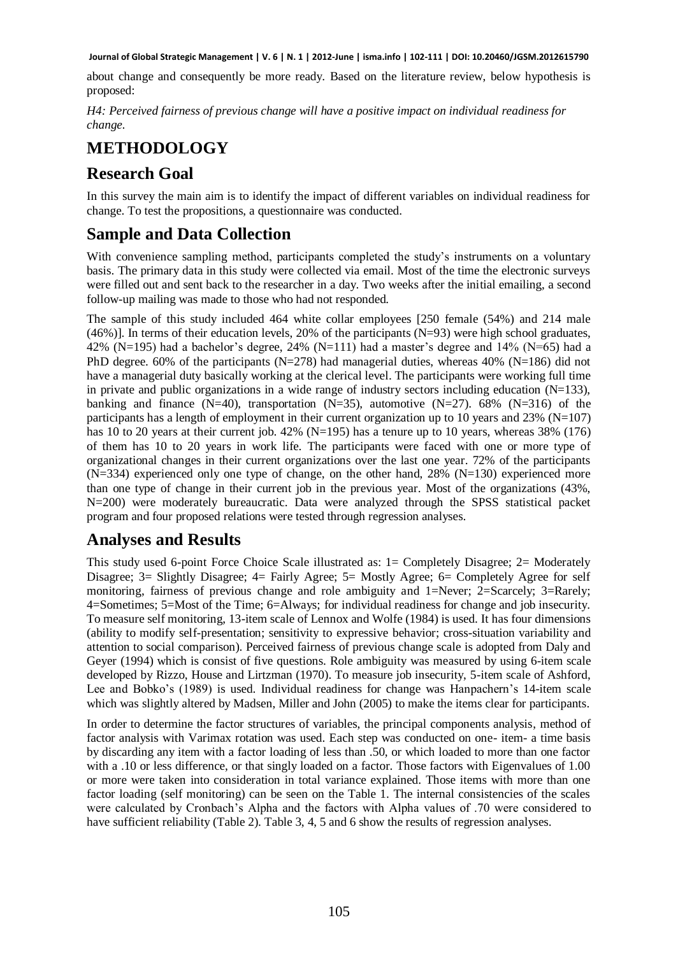about change and consequently be more ready. Based on the literature review, below hypothesis is proposed:

*H4: Perceived fairness of previous change will have a positive impact on individual readiness for change.* 

#### **METHODOLOGY**

#### **Research Goal**

In this survey the main aim is to identify the impact of different variables on individual readiness for change. To test the propositions, a questionnaire was conducted.

#### **Sample and Data Collection**

With convenience sampling method, participants completed the study's instruments on a voluntary basis. The primary data in this study were collected via email. Most of the time the electronic surveys were filled out and sent back to the researcher in a day. Two weeks after the initial emailing, a second follow-up mailing was made to those who had not responded.

The sample of this study included 464 white collar employees [250 female (54%) and 214 male (46%)]. In terms of their education levels, 20% of the participants (N=93) were high school graduates, 42% (N=195) had a bachelor's degree, 24% (N=111) had a master's degree and 14% (N=65) had a PhD degree. 60% of the participants (N=278) had managerial duties, whereas 40% (N=186) did not have a managerial duty basically working at the clerical level. The participants were working full time in private and public organizations in a wide range of industry sectors including education  $(N=133)$ , banking and finance (N=40), transportation (N=35), automotive (N=27). 68% (N=316) of the participants has a length of employment in their current organization up to 10 years and 23% ( $N=107$ ) has 10 to 20 years at their current job.  $42\%$  (N=195) has a tenure up to 10 years, whereas 38% (176) of them has 10 to 20 years in work life. The participants were faced with one or more type of organizational changes in their current organizations over the last one year. 72% of the participants  $(N=334)$  experienced only one type of change, on the other hand, 28%  $(N=130)$  experienced more than one type of change in their current job in the previous year. Most of the organizations (43%, N=200) were moderately bureaucratic. Data were analyzed through the SPSS statistical packet program and four proposed relations were tested through regression analyses.

#### **Analyses and Results**

This study used 6-point Force Choice Scale illustrated as: 1= Completely Disagree; 2= Moderately Disagree; 3= Slightly Disagree; 4= Fairly Agree; 5= Mostly Agree; 6= Completely Agree for self monitoring, fairness of previous change and role ambiguity and 1=Never; 2=Scarcely; 3=Rarely; 4=Sometimes; 5=Most of the Time; 6=Always; for individual readiness for change and job insecurity. To measure self monitoring, 13-item scale of Lennox and Wolfe (1984) is used. It has four dimensions (ability to modify self-presentation; sensitivity to expressive behavior; cross-situation variability and attention to social comparison). Perceived fairness of previous change scale is adopted from Daly and Geyer (1994) which is consist of five questions. Role ambiguity was measured by using 6-item scale developed by Rizzo, House and Lirtzman (1970). To measure job insecurity, 5-item scale of Ashford, Lee and Bobko's (1989) is used. Individual readiness for change was Hanpachern's 14-item scale which was slightly altered by Madsen, Miller and John (2005) to make the items clear for participants.

In order to determine the factor structures of variables, the principal components analysis, method of factor analysis with Varimax rotation was used. Each step was conducted on one- item- a time basis by discarding any item with a factor loading of less than .50, or which loaded to more than one factor with a .10 or less difference, or that singly loaded on a factor. Those factors with Eigenvalues of 1.00 or more were taken into consideration in total variance explained. Those items with more than one factor loading (self monitoring) can be seen on the Table 1. The internal consistencies of the scales were calculated by Cronbach's Alpha and the factors with Alpha values of .70 were considered to have sufficient reliability (Table 2). Table 3, 4, 5 and 6 show the results of regression analyses.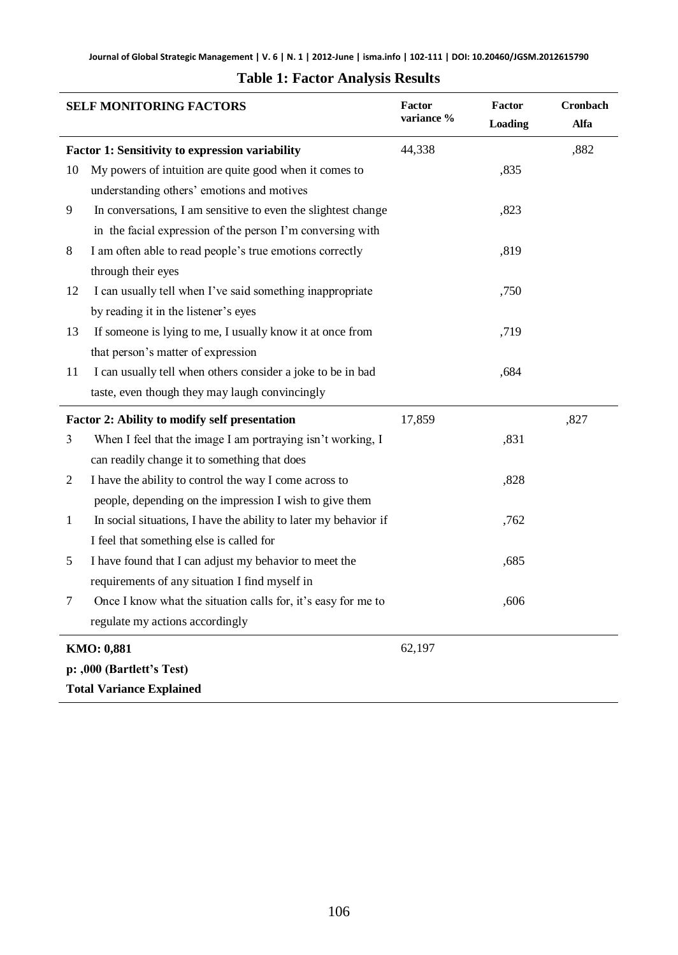| <b>SELF MONITORING FACTORS</b> |                                                                  | Factor<br>variance % | Factor<br>Loading | Cronbach<br>Alfa |
|--------------------------------|------------------------------------------------------------------|----------------------|-------------------|------------------|
|                                | <b>Factor 1: Sensitivity to expression variability</b>           | 44,338               |                   | ,882             |
| 10                             | My powers of intuition are quite good when it comes to           |                      | ,835              |                  |
|                                | understanding others' emotions and motives                       |                      |                   |                  |
| 9                              | In conversations, I am sensitive to even the slightest change    |                      | ,823              |                  |
|                                | in the facial expression of the person I'm conversing with       |                      |                   |                  |
| 8                              | I am often able to read people's true emotions correctly         |                      | ,819              |                  |
|                                | through their eyes                                               |                      |                   |                  |
| 12                             | I can usually tell when I've said something inappropriate        |                      | ,750              |                  |
|                                | by reading it in the listener's eyes                             |                      |                   |                  |
| 13                             | If someone is lying to me, I usually know it at once from        |                      | ,719              |                  |
|                                | that person's matter of expression                               |                      |                   |                  |
| 11                             | I can usually tell when others consider a joke to be in bad      |                      | ,684              |                  |
|                                | taste, even though they may laugh convincingly                   |                      |                   |                  |
|                                | Factor 2: Ability to modify self presentation                    |                      |                   | ,827             |
| 3                              | When I feel that the image I am portraying isn't working, I      |                      | ,831              |                  |
|                                | can readily change it to something that does                     |                      |                   |                  |
| $\overline{c}$                 | I have the ability to control the way I come across to           |                      | ,828              |                  |
|                                | people, depending on the impression I wish to give them          |                      |                   |                  |
| $\mathbf{1}$                   | In social situations, I have the ability to later my behavior if |                      | ,762              |                  |
|                                | I feel that something else is called for                         |                      |                   |                  |
| 5                              | I have found that I can adjust my behavior to meet the           |                      | ,685              |                  |
|                                | requirements of any situation I find myself in                   |                      |                   |                  |
| $\tau$                         | Once I know what the situation calls for, it's easy for me to    |                      | ,606              |                  |
|                                | regulate my actions accordingly                                  |                      |                   |                  |
|                                | KMO: 0,881                                                       |                      |                   |                  |
|                                | p: ,000 (Bartlett's Test)                                        |                      |                   |                  |
|                                | <b>Total Variance Explained</b>                                  |                      |                   |                  |
|                                |                                                                  |                      |                   |                  |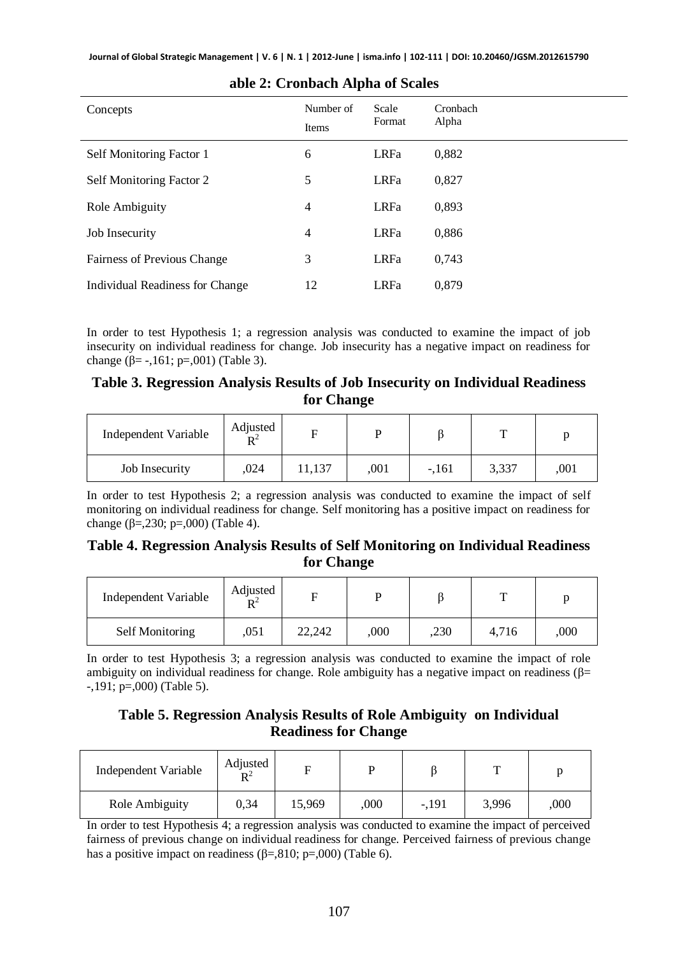| Concepts                           | Number of<br>Items | Scale<br>Format | Cronbach<br>Alpha |
|------------------------------------|--------------------|-----------------|-------------------|
| Self Monitoring Factor 1           | 6                  | <b>LRFa</b>     | 0,882             |
| Self Monitoring Factor 2           | 5                  | <b>LRFa</b>     | 0,827             |
| Role Ambiguity                     | $\overline{4}$     | <b>LRFa</b>     | 0,893             |
| Job Insecurity                     | $\overline{4}$     | <b>LRFa</b>     | 0,886             |
| <b>Fairness of Previous Change</b> | 3                  | <b>LRFa</b>     | 0,743             |
| Individual Readiness for Change    | 12                 | <b>LRFa</b>     | 0.879             |

#### **able 2: Cronbach Alpha of Scales**

In order to test Hypothesis 1; a regression analysis was conducted to examine the impact of job insecurity on individual readiness for change. Job insecurity has a negative impact on readiness for change (β= -,161; p=,001) (Table 3).

#### **Table 3. Regression Analysis Results of Job Insecurity on Individual Readiness for Change**

| Independent Variable | Adjusted<br>$\mathbf{R}^2$ |        |      |         | m     |      |
|----------------------|----------------------------|--------|------|---------|-------|------|
| Job Insecurity       | .024                       | 11,137 | .001 | $-.161$ | 3,337 | .001 |

In order to test Hypothesis 2; a regression analysis was conducted to examine the impact of self monitoring on individual readiness for change. Self monitoring has a positive impact on readiness for change (β=,230; p=,000) (Table 4).

#### **Table 4. Regression Analysis Results of Self Monitoring on Individual Readiness for Change**

| Independent Variable | Adjusted<br>$R^2$ |        |      |      | Ē     |      |
|----------------------|-------------------|--------|------|------|-------|------|
| Self Monitoring      | .051              | 22,242 | ,000 | ,230 | 4.716 | 000, |

In order to test Hypothesis 3; a regression analysis was conducted to examine the impact of role ambiguity on individual readiness for change. Role ambiguity has a negative impact on readiness ( $\beta$ = -,191; p=,000) (Table 5).

#### **Table 5. Regression Analysis Results of Role Ambiguity on Individual Readiness for Change**

| Independent Variable | Adjusted<br>$\mathbf{D}^2$ |        |      |         |       |      |
|----------------------|----------------------------|--------|------|---------|-------|------|
| Role Ambiguity       | 0.34                       | 15.969 | 000, | $-.191$ | 3,996 | ,000 |

In order to test Hypothesis 4; a regression analysis was conducted to examine the impact of perceived fairness of previous change on individual readiness for change. Perceived fairness of previous change has a positive impact on readiness ( $\beta =$ ,810; p=,000) (Table 6).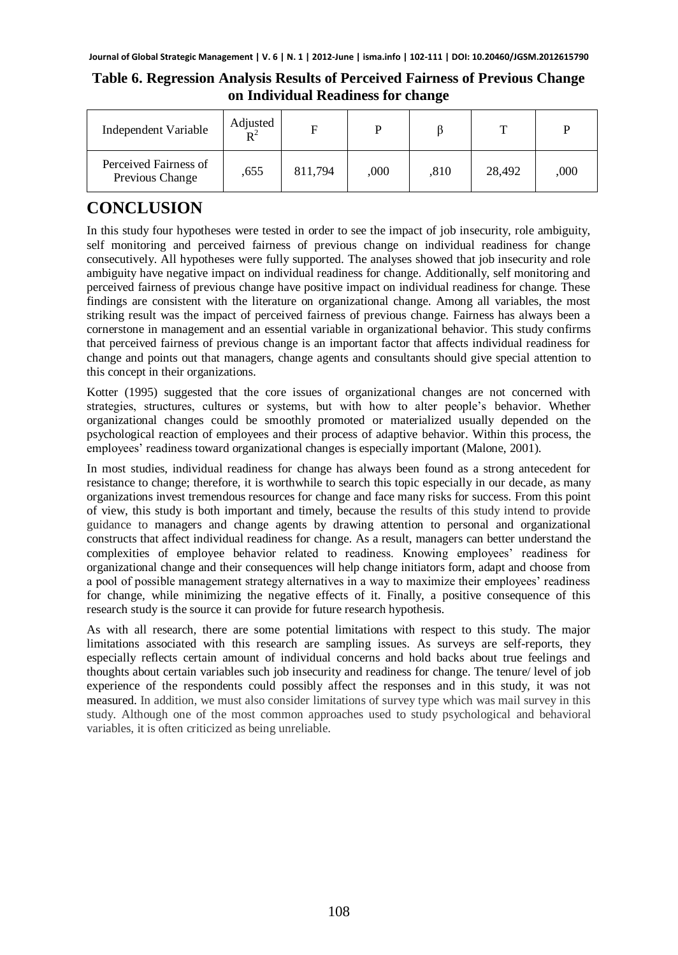#### **Table 6. Regression Analysis Results of Perceived Fairness of Previous Change on Individual Readiness for change**

| Independent Variable                     | Adjusted<br>$\mathbf{D}^2$ | F       |      |      |        | P    |
|------------------------------------------|----------------------------|---------|------|------|--------|------|
| Perceived Fairness of<br>Previous Change | .655                       | 811,794 | ,000 | .810 | 28,492 | .000 |

# **CONCLUSION**

In this study four hypotheses were tested in order to see the impact of job insecurity, role ambiguity, self monitoring and perceived fairness of previous change on individual readiness for change consecutively. All hypotheses were fully supported. The analyses showed that job insecurity and role ambiguity have negative impact on individual readiness for change. Additionally, self monitoring and perceived fairness of previous change have positive impact on individual readiness for change. These findings are consistent with the literature on organizational change. Among all variables, the most striking result was the impact of perceived fairness of previous change. Fairness has always been a cornerstone in management and an essential variable in organizational behavior. This study confirms that perceived fairness of previous change is an important factor that affects individual readiness for change and points out that managers, change agents and consultants should give special attention to this concept in their organizations.

Kotter (1995) suggested that the core issues of organizational changes are not concerned with strategies, structures, cultures or systems, but with how to alter people's behavior. Whether organizational changes could be smoothly promoted or materialized usually depended on the psychological reaction of employees and their process of adaptive behavior. Within this process, the employees' readiness toward organizational changes is especially important (Malone, 2001).

In most studies, individual readiness for change has always been found as a strong antecedent for resistance to change; therefore, it is worthwhile to search this topic especially in our decade, as many organizations invest tremendous resources for change and face many risks for success. From this point of view, this study is both important and timely, because the results of this study intend to provide guidance to managers and change agents by drawing attention to personal and organizational constructs that affect individual readiness for change. As a result, managers can better understand the complexities of employee behavior related to readiness. Knowing employees' readiness for organizational change and their consequences will help change initiators form, adapt and choose from a pool of possible management strategy alternatives in a way to maximize their employees' readiness for change, while minimizing the negative effects of it. Finally, a positive consequence of this research study is the source it can provide for future research hypothesis.

As with all research, there are some potential limitations with respect to this study. The major limitations associated with this research are sampling issues*.* As surveys are self-reports, they especially reflects certain amount of individual concerns and hold backs about true feelings and thoughts about certain variables such job insecurity and readiness for change. The tenure/ level of job experience of the respondents could possibly affect the responses and in this study, it was not measured. In addition, we must also consider limitations of survey type which was mail survey in this study. Although one of the most common approaches used to study psychological and behavioral variables, it is often criticized as being unreliable.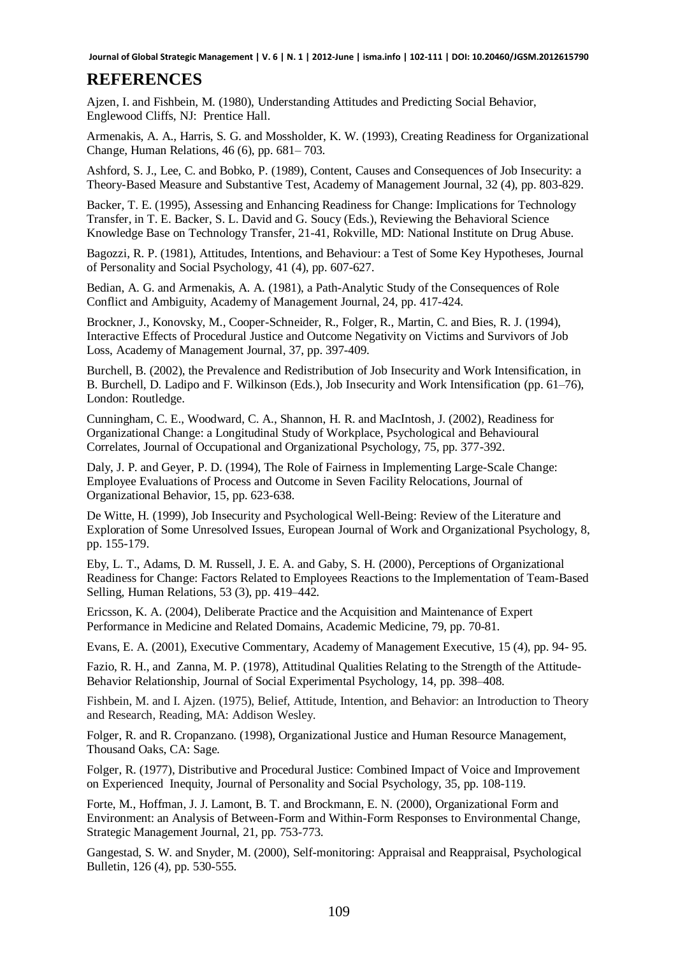#### **REFERENCES**

Ajzen, I. and Fishbein, M. (1980), Understanding Attitudes and Predicting Social Behavior, Englewood Cliffs, NJ:Prentice Hall.

Armenakis, A. A., Harris, S. G. and Mossholder, K. W. (1993), Creating Readiness for Organizational Change, Human Relations, 46 (6), pp. 681– 703.

Ashford, S. J., Lee, C. and Bobko, P. (1989), Content, Causes and Consequences of Job Insecurity: a Theory-Based Measure and Substantive Test*,* Academy of Management Journal, 32 (4), pp. 803-829.

Backer, T. E. (1995), Assessing and Enhancing Readiness for Change: Implications for Technology Transfer, in T. E. Backer, S. L. David and G. Soucy (Eds.), Reviewing the Behavioral Science Knowledge Base on Technology Transfer, 21-41, Rokville, MD: National Institute on Drug Abuse.

Bagozzi, R. P. (1981), Attitudes, Intentions, and Behaviour: a Test of Some Key Hypotheses, Journal of Personality and Social Psychology, 41 (4), pp. 607-627.

Bedian, A. G. and Armenakis, A. A. (1981), a Path-Analytic Study of the Consequences of Role Conflict and Ambiguity, Academy of Management Journal, 24*,* pp. 417-424.

Brockner, J., Konovsky, M., Cooper-Schneider, R., Folger, R., Martin, C. and Bies, R. J. (1994), Interactive Effects of Procedural Justice and Outcome Negativity on Victims and Survivors of Job Loss, Academy of Management Journal, 37, pp. 397-409.

Burchell, B. (2002), the Prevalence and Redistribution of Job Insecurity and Work Intensification, in B. Burchell, D. Ladipo and F. Wilkinson (Eds.), Job Insecurity and Work Intensification (pp. 61–76), London: Routledge.

Cunningham, C. E., Woodward, C. A., Shannon, H. R. and MacIntosh, J. (2002), Readiness for Organizational Change: a Longitudinal Study of Workplace, Psychological and Behavioural Correlates, Journal of Occupational and Organizational Psychology, 75, pp. 377-392.

Daly, J. P. and Geyer, P. D. (1994), The Role of Fairness in Implementing Large-Scale Change: Employee Evaluations of Process and Outcome in Seven Facility Relocations, Journal of Organizational Behavior, 15, pp. 623-638.

De Witte, H. (1999), Job Insecurity and Psychological Well-Being: Review of the Literature and Exploration of Some Unresolved Issues, European Journal of Work and Organizational Psychology, 8, pp. 155-179.

Eby, L. T., Adams, D. M. Russell, J. E. A. and Gaby, S. H. (2000), Perceptions of Organizational Readiness for Change: Factors Related to Employees Reactions to the Implementation of Team-Based Selling, Human Relations, 53 (3), pp. 419–442.

Ericsson, K. A. (2004), Deliberate Practice and the Acquisition and Maintenance of Expert Performance in Medicine and Related Domains, Academic Medicine, 79, pp. 70-81*.*

Evans, E. A. (2001), Executive Commentary, Academy of Management Executive, 15 (4), pp. 94- 95.

Fazio, R. H., and Zanna, M. P. (1978), Attitudinal Qualities Relating to the Strength of the Attitude-Behavior Relationship, Journal of Social Experimental Psychology, 14, pp. 398–408.

Fishbein, M. and I. Ajzen. (1975), Belief, Attitude, Intention, and Behavior: an Introduction to Theory and Research, Reading, MA: Addison Wesley.

Folger, R. and R. Cropanzano. (1998), Organizational Justice and Human Resource Management, Thousand Oaks, CA: Sage.

Folger, R. (1977), Distributive and Procedural Justice: Combined Impact of Voice and Improvement on Experienced Inequity, Journal of Personality and Social Psychology, 35, pp. 108-119.

Forte, M., Hoffman, J. J. Lamont, B. T. and Brockmann, E. N. (2000), Organizational Form and Environment: an Analysis of Between-Form and Within-Form Responses to Environmental Change, Strategic Management Journal, 21, pp. 753-773.

Gangestad, S. W. and Snyder, M. (2000), Self-monitoring: Appraisal and Reappraisal, Psychological Bulletin, 126 (4)*,* pp. 530-555.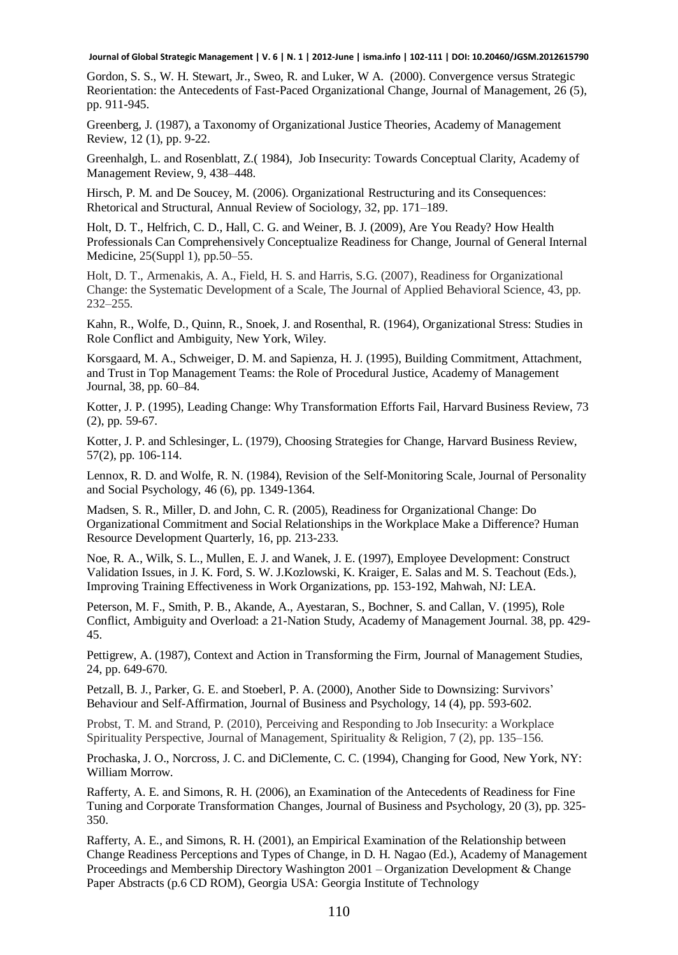Gordon, S. S., W. H. Stewart, Jr., Sweo, R. and Luker, W A. (2000). Convergence versus Strategic Reorientation: the Antecedents of Fast-Paced Organizational Change, Journal of Management, 26 (5), pp. 911-945.

Greenberg, J. (1987), a Taxonomy of Organizational Justice Theories, Academy of Management Review, 12 (1), pp. 9-22.

Greenhalgh, L. and Rosenblatt, Z.( 1984), Job Insecurity: Towards Conceptual Clarity, Academy of Management Review, 9, 438–448.

Hirsch, P. M. and De Soucey, M. (2006). Organizational Restructuring and its Consequences: Rhetorical and Structural, Annual Review of Sociology, 32, pp. 171–189.

Holt, D. T., Helfrich, C. D., Hall, C. G. and Weiner, B. J. (2009), Are You Ready? How Health Professionals Can Comprehensively Conceptualize Readiness for Change, Journal of General Internal Medicine, 25(Suppl 1), pp.50–55.

Holt, D. T., Armenakis, A. A., Field, H. S. and Harris, S.G. (2007), Readiness for Organizational Change: the Systematic Development of a Scale, The Journal of Applied Behavioral Science, 43, pp. 232–255.

Kahn, R., Wolfe, D., Quinn, R., Snoek, J. and Rosenthal, R. (1964), Organizational Stress: Studies in Role Conflict and Ambiguity, New York, Wiley.

Korsgaard, M. A., Schweiger, D. M. and Sapienza, H. J. (1995), Building Commitment, Attachment, and Trust in Top Management Teams: the Role of Procedural Justice, Academy of Management Journal, 38, pp. 60–84.

Kotter, J. P. (1995), Leading Change: Why Transformation Efforts Fail, Harvard Business Review, 73 (2), pp. 59-67.

Kotter, J. P. and Schlesinger, L. (1979), Choosing Strategies for Change, Harvard Business Review, 57(2), pp. 106-114.

Lennox, R. D. and Wolfe, R. N. (1984), Revision of the Self-Monitoring Scale, Journal of Personality and Social Psychology, 46 (6), pp. 1349-1364.

Madsen, S. R., Miller, D. and John, C. R. (2005), Readiness for Organizational Change: Do Organizational Commitment and Social Relationships in the Workplace Make a Difference? Human Resource Development Quarterly, 16, pp. 213-233.

Noe, R. A., Wilk, S. L., Mullen, E. J. and Wanek, J. E. (1997), Employee Development: Construct Validation Issues, in J. K. Ford, S. W. J.Kozlowski, K. Kraiger, E. Salas and M. S. Teachout (Eds.), Improving Training Effectiveness in Work Organizations, pp. 153-192, Mahwah, NJ: LEA.

Peterson, M. F., Smith, P. B., Akande, A., Ayestaran, S., Bochner, S. and Callan, V. (1995), Role Conflict, Ambiguity and Overload: a 21-Nation Study, Academy of Management Journal. 38, pp. 429- 45.

Pettigrew, A. (1987), Context and Action in Transforming the Firm, Journal of Management Studies, 24, pp. 649-670.

Petzall, B. J., Parker, G. E. and Stoeberl, P. A. (2000), Another Side to Downsizing: Survivors' Behaviour and Self-Affirmation, Journal of Business and Psychology, 14 (4), pp. 593-602.

Probst, T. M. and Strand, P. (2010), Perceiving and Responding to Job Insecurity: a Workplace Spirituality Perspective, Journal of Management, Spirituality & Religion, 7 (2), pp. 135–156.

Prochaska, J. O., Norcross, J. C. and DiClemente, C. C. (1994), Changing for Good, New York, NY: William Morrow.

Rafferty, A. E. and Simons, R. H. (2006), an Examination of the Antecedents of Readiness for Fine Tuning and Corporate Transformation Changes, Journal of Business and Psychology, 20 (3), pp. 325- 350.

Rafferty, A. E., and Simons, R. H. (2001), an Empirical Examination of the Relationship between Change Readiness Perceptions and Types of Change, in D. H. Nagao (Ed.), Academy of Management Proceedings and Membership Directory Washington 2001 – Organization Development & Change Paper Abstracts (p.6 CD ROM), Georgia USA: Georgia Institute of Technology